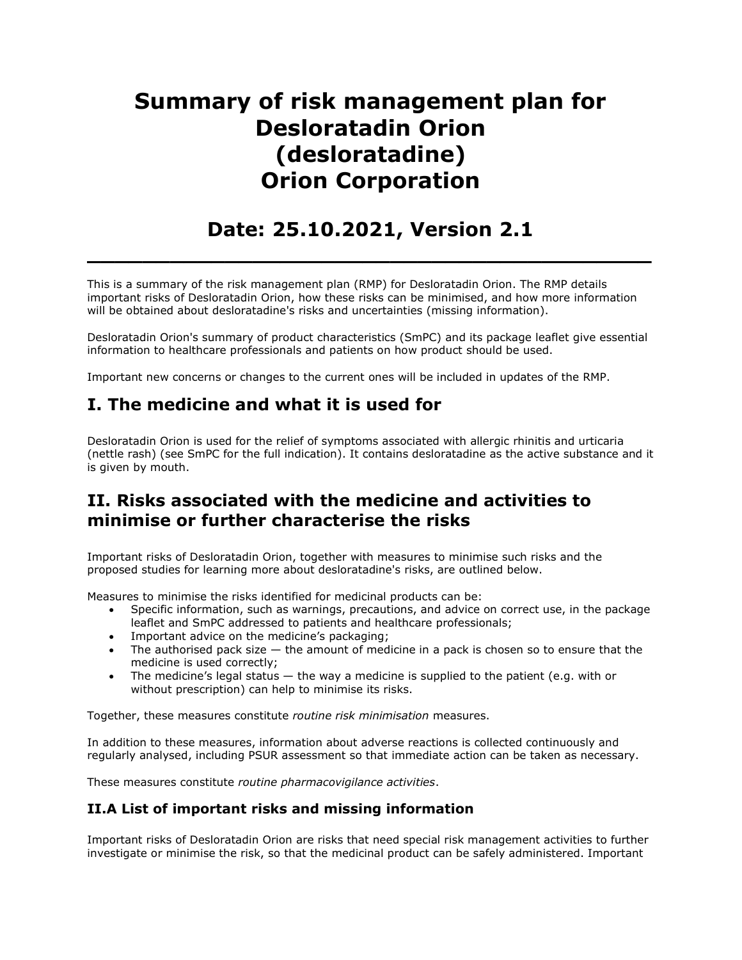# Summary of risk management plan for Desloratadin Orion (desloratadine) Orion Corporation

# Date: 25.10.2021, Version 2.1

 $\overline{\phantom{a}}$  , and the contract of the contract of the contract of the contract of the contract of the contract of the contract of the contract of the contract of the contract of the contract of the contract of the contrac

This is a summary of the risk management plan (RMP) for Desloratadin Orion. The RMP details important risks of Desloratadin Orion, how these risks can be minimised, and how more information will be obtained about desloratadine's risks and uncertainties (missing information).

Desloratadin Orion's summary of product characteristics (SmPC) and its package leaflet give essential information to healthcare professionals and patients on how product should be used.

Important new concerns or changes to the current ones will be included in updates of the RMP.

# I. The medicine and what it is used for

Desloratadin Orion is used for the relief of symptoms associated with allergic rhinitis and urticaria (nettle rash) (see SmPC for the full indication). It contains desloratadine as the active substance and it is given by mouth.

## II. Risks associated with the medicine and activities to minimise or further characterise the risks

Important risks of Desloratadin Orion, together with measures to minimise such risks and the proposed studies for learning more about desloratadine's risks, are outlined below.

Measures to minimise the risks identified for medicinal products can be:

- Specific information, such as warnings, precautions, and advice on correct use, in the package leaflet and SmPC addressed to patients and healthcare professionals;
- Important advice on the medicine's packaging;
- $\bullet$  The authorised pack size  $-$  the amount of medicine in a pack is chosen so to ensure that the medicine is used correctly;
- The medicine's legal status  $-$  the way a medicine is supplied to the patient (e.g. with or without prescription) can help to minimise its risks.

Together, these measures constitute routine risk minimisation measures.

In addition to these measures, information about adverse reactions is collected continuously and regularly analysed, including PSUR assessment so that immediate action can be taken as necessary.

These measures constitute routine pharmacovigilance activities.

#### II.A List of important risks and missing information

Important risks of Desloratadin Orion are risks that need special risk management activities to further investigate or minimise the risk, so that the medicinal product can be safely administered. Important